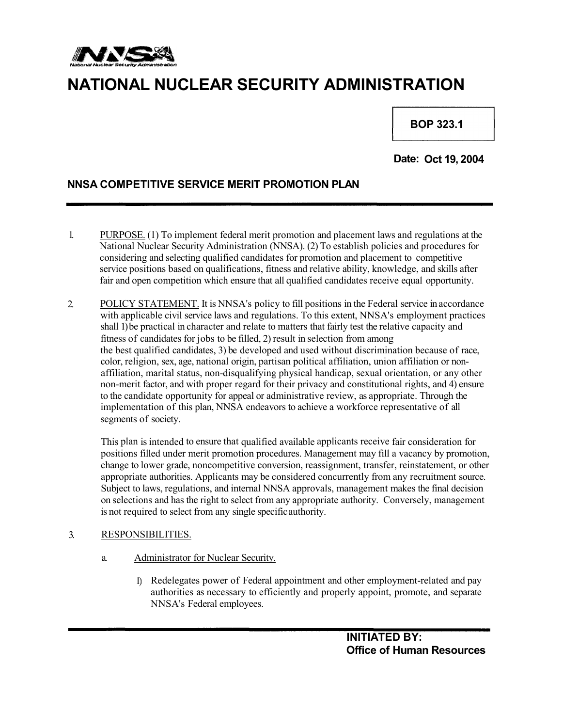

# **NATIONAL NUCLEAR SECURITY ADMINISTRATION**

**. BOP 323.1**

**Date: Oct 19, 2004**

# **NNSA COMPETITIVE SERVICE MERIT PROMOTION PLAN**

- 1. PURPOSE. (1) To implement federal merit promotion and placement laws and regulations at the National Nuclear Security Administration (NNSA). (2) To establish policies and procedures for considering and selecting qualified candidates for promotion and placement to competitive service positions based on qualifications, fitness and relative ability, knowledge, and skills after fair and open competition which ensure that all qualified candidates receive equal opportunity.
- POLICY STATEMENT. It is NNSA's policy to fill positions in the Federal service in accordance with applicable civil service laws and regulations. To this extent, NNSA's employment practices shall 1) be practical in character and relate to matters that fairly test the relative capacity and fitness of candidates for jobs to be filled, 2) result in selection from among 2. the best qualified candidates, 3) be developed and used without discrimination because of race, color, religion, sex, age, national origin, partisan political affiliation, union affiliation or nonaffiliation, marital status, non-disqualifying physical handicap, sexual orientation, or any other non-merit factor, and with proper regard for their privacy and constitutional rights, and 4) ensure to the candidate opportunity for appeal or administrative review, as appropriate. Through the implementation of this plan, NNSA endeavors to achieve a workforce representative of all segments of society.

This plan is intended to ensure that qualified available applicants receive fair consideration for positions filled under merit promotion procedures. Management may fill a vacancy by promotion, change to lower grade, noncompetitive conversion, reassignment, transfer, reinstatement, or other appropriate authorities. Applicants may be considered concurrently from any recruitment source. Subject to laws, regulations, and internal NNSA approvals, management makes the final decision on selections and has the right to select from any appropriate authority. Conversely, management is not required to select from any single specificauthority.

## 3. RESPONSIBILITIES.

- a. Administrator for Nuclear Security.
	- 1) Redelegates power of Federal appointment and other employment-related and pay authorities as necessary to efficiently and properly appoint, promote, and separate NNSA's Federal employees.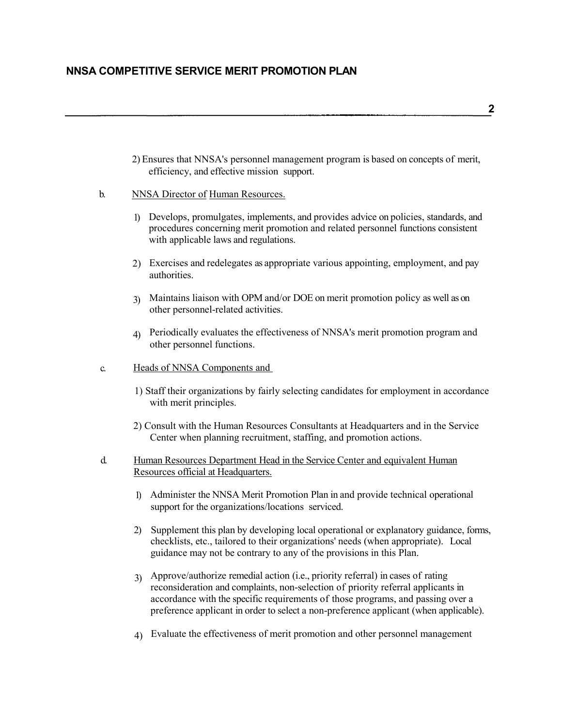2) Ensures that NNSA's personnel management program is based on concepts of merit, efficiency, and effective mission support.

### b. NNSA Director of Human Resources.

- Develops, promulgates, implements, and provides advice on policies, standards, and 1) procedures concerning merit promotion and related personnel functions consistent with applicable laws and regulations.
- 2) Exercises and redelegates as appropriate various appointing, employment, and pay authorities.
- Maintains liaison with OPM and/or DOE on merit promotion policy as well as on 3) other personnel-related activities.
- Periodically evaluates the effectiveness of NNSA's merit promotion program and 4) other personnel functions.
- c. Heads of NNSA Components and
	- 1) Staff their organizations by fairly selecting candidates for employment in accordance with merit principles.
	- 2) Consult with the Human Resources Consultants at Headquarters and in the Service Center when planning recruitment, staffing, and promotion actions.
- d. Human Resources Department Head in the Service Center and equivalent Human Resources official at Headquarters.
	- 1) Administer the NNSA Merit Promotion Plan in and provide technical operational support for the organizations/locations serviced.
	- 2) Supplement this plan by developing local operational or explanatory guidance, forms, checklists, etc., tailored to their organizations' needs (when appropriate). Local guidance may not be contrary to any of the provisions in this Plan.
	- Approve/authorize remedial action (i.e., priority referral) in cases of rating 3) reconsideration and complaints, non-selection of priority referral applicants in accordance with the specific requirements of those programs, and passing over a preference applicant in order to select a non-preference applicant (when applicable).
	- 4) Evaluate the effectiveness of merit promotion and other personnel management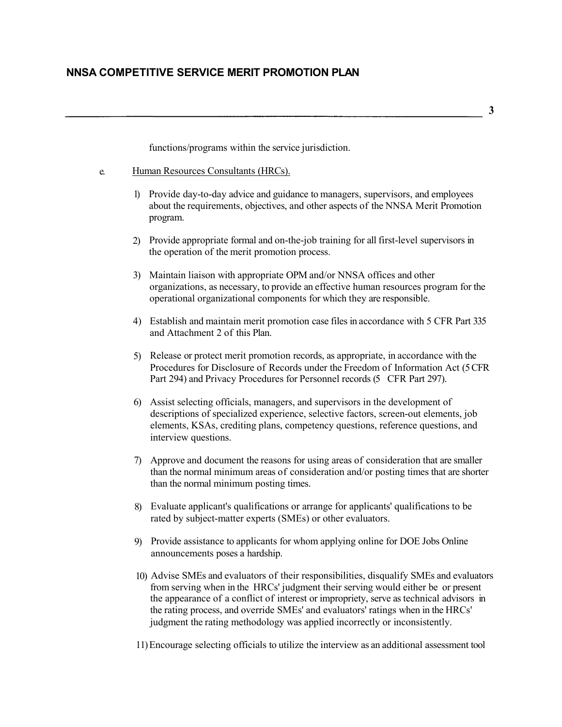**3**

functions/programs within the service jurisdiction.

- e. Human Resources Consultants (HRCs).
	- 1) Provide day-to-day advice and guidance to managers, supervisors, and employees about the requirements, objectives, and other aspects of the NNSA Merit Promotion program.
	- 2) Provide appropriate formal and on-the-job training for all first-level supervisors in the operation of the merit promotion process.
	- 3) Maintain liaison with appropriate OPM and/or NNSA offices and other organizations, as necessary, to provide an effective human resources program for the operational organizational components for which they are responsible.
	- 4) Establish and maintain merit promotion case files in accordance with 5 CFR Part 335 and Attachment 2 of this Plan.
	- Release or protect merit promotion records, as appropriate, in accordance with the 5) Procedures for Disclosure of Records under the Freedom of Information Act (5 CFR Part 294) and Privacy Procedures for Personnel records (5 CFR Part 297).
	- 6) Assist selecting officials, managers, and supervisors in the development of descriptions of specialized experience, selective factors, screen-out elements, job elements, KSAs, crediting plans, competency questions, reference questions, and interview questions.
	- 7) Approve and document the reasons for using areas of consideration that are smaller than the normal minimum areas of consideration and/or posting times that are shorter than the normal minimum posting times.
	- 8) Evaluate applicant's qualifications or arrange for applicants' qualifications to be rated by subject-matter experts (SMEs) or other evaluators.
	- 9) Provide assistance to applicants for whom applying online for DOE Jobs Online announcements poses a hardship.
	- 10) Advise SMEs and evaluators of their responsibilities, disqualify SMEs and evaluators from serving when in the HRCs' judgment their serving would either be or present the appearance of a conflict of interest or impropriety, serve as technical advisors in the rating process, and override SMEs' and evaluators' ratings when in the HRCs' judgment the rating methodology was applied incorrectly or inconsistently.
	- 11) Encourage selecting officials to utilize the interview as an additional assessment tool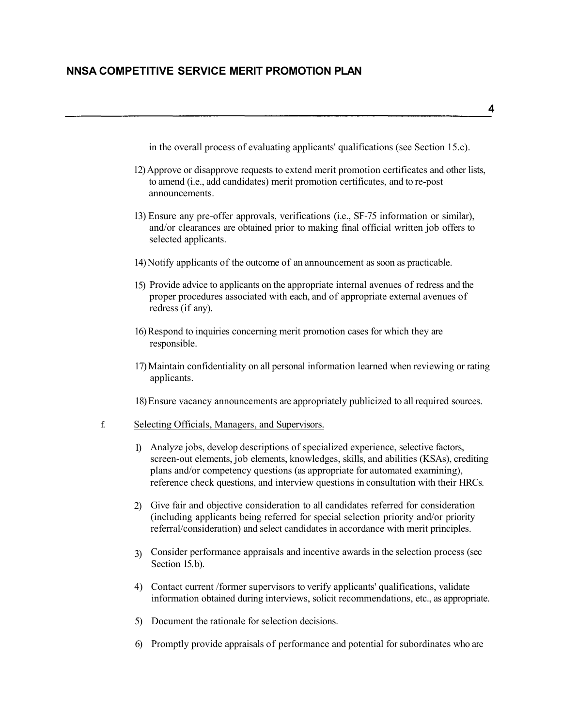in the overall process of evaluating applicants' qualifications (see Section 15.c).

- 12) Approve or disapprove requests to extend merit promotion certificates and other lists, to amend (i.e., add candidates) merit promotion certificates, and to re-post announcements.
- 13) Ensure any pre-offer approvals, verifications (i.e., SF-75 information or similar), and/or clearances are obtained prior to making final official written job offers to selected applicants.
- 14) Notify applicants of the outcome of an announcement as soon as practicable.
- 15) Provide advice to applicants on the appropriate internal avenues of redress and the proper procedures associated with each, and of appropriate external avenues of redress (if any).
- 16) Respond to inquiries concerning merit promotion cases for which they are responsible.
- 17) Maintain confidentiality on all personal information learned when reviewing or rating applicants.

18) Ensure vacancy announcements are appropriately publicized to all required sources.

## f. Selecting Officials, Managers, and Supervisors.

- Analyze jobs, develop descriptions of specialized experience, selective factors, 1) screen-out elements, job elements, knowledges, skills, and abilities (KSAs), crediting plans and/or competency questions (as appropriate for automated examining), reference check questions, and interview questions in consultation with their HRCs.
- 2) Give fair and objective consideration to all candidates referred for consideration (including applicants being referred for special selection priority and/or priority referral/consideration) and select candidates in accordance with merit principles.
- Consider performance appraisals and incentive awards in the selection process (sec 3) Section 15.b).
- 4) Contact current /former supervisors to verify applicants' qualifications, validate information obtained during interviews, solicit recommendations, etc., as appropriate.
- 5) Document the rationale for selection decisions.
- 6) Promptly provide appraisals of performance and potential for subordinates who are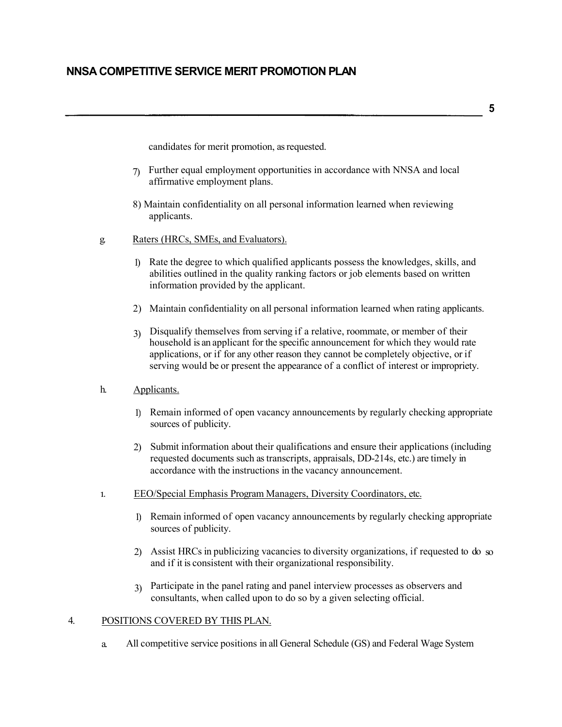**5**

candidates for merit promotion, as requested.

- Further equal employment opportunities in accordance with NNSA and local affirmative employment plans. 7)
- 8) Maintain confidentiality on all personal information learned when reviewing applicants.
- g. Raters (HRCs, SMEs, and Evaluators).
	- 1) Rate the degree to which qualified applicants possess the knowledges, skills, and abilities outlined in the quality ranking factors or job elements based on written information provided by the applicant.
	- 2) Maintain confidentiality on all personal information learned when rating applicants.
	- Disqualify themselves from serving if a relative, roommate, or member of their 3) household is an applicant for the specific announcement for which they would rate applications, or if for any other reason they cannot be completely objective, or if serving would be or present the appearance of a conflict of interest or impropriety.
- h. Applicants.
	- 1) Remain informed of open vacancy announcements by regularly checking appropriate sources of publicity.
	- 2) Submit information about their qualifications and ensure their applications (including requested documents such as transcripts, appraisals, DD-214s, etc.) are timely in accordance with the instructions in the vacancy announcement.
- **1.** EEO/Special Emphasis Program Managers, Diversity Coordinators, etc.
	- 1) Remain informed of open vacancy announcements by regularly checking appropriate sources of publicity.
	- 2) Assist HRCs in publicizing vacancies to diversity organizations, if requested to do so and if it is consistent with their organizational responsibility.
	- Participate in the panel rating and panel interview processes as observers and 3) consultants, when called upon to do so by a given selecting official.

## 4. POSITIONS COVERED BY THIS PLAN.

a. All competitive service positions in all General Schedule (GS) and Federal Wage System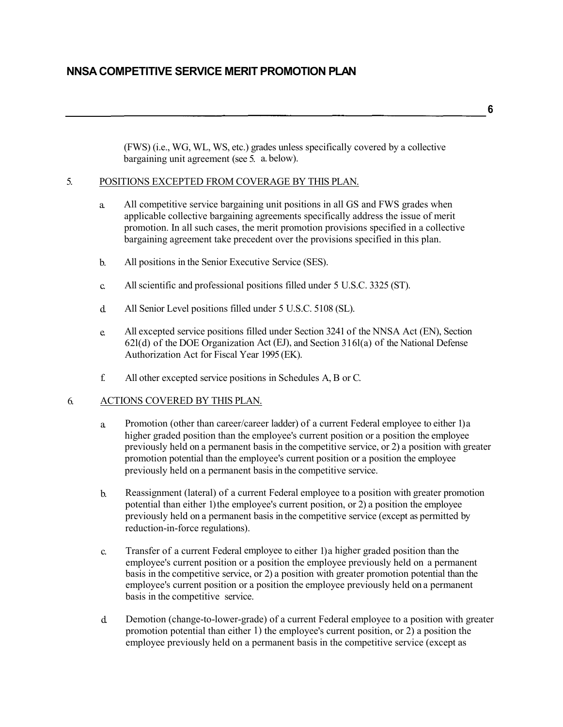(FWS) (i.e., WG, WL, WS, etc.) grades unless specifically covered by a collective bargaining unit agreement (see 5. a. below).

#### 5. POSITIONS EXCEPTED FROM COVERAGE BY THIS PLAN.

- a. All competitive service bargaining unit positions in all GS and FWS grades when applicable collective bargaining agreements specifically address the issue of merit promotion. In all such cases, the merit promotion provisions specified in a collective bargaining agreement take precedent over the provisions specified in this plan.
- b. All positions in the Senior Executive Service (SES).
- c. All scientific and professional positions filled under 5 U.S.C. 3325 (ST).
- d. All Senior Level positions filled under 5 U.S.C. 5108 (SL).
- e. All excepted service positions filled under Section 3241 of the NNSA Act (EN), Section 62l(d) of the DOE Organization Act (EJ), and Section 316l(a) of the National Defense Authorization Act for Fiscal Year 1995 (EK).
- f. All other excepted service positions in Schedules A, B or C.

## 6. ACTIONS COVERED BY THIS PLAN.

- Promotion (other than career/career ladder) of a current Federal employee to either 1) a higher graded position than the employee's current position or a position the employee previously held on a permanent basis in the competitive service, or 2) a position with greater promotion potential than the employee's current position or a position the employee previously held on a permanent basis in the competitive service. a.
- b. Reassignment (lateral) of a current Federal employee to a position with greater promotion potential than either 1) the employee's current position, or 2) a position the employee previously held on a permanent basis in the competitive service (except as permitted by reduction-in-force regulations).
- c. Transfer of a current Federal employee to either 1) a higher graded position than the employee's current position or a position the employee previously held on a permanent basis in the competitive service, or 2) a position with greater promotion potential than the employee's current position or a position the employee previously held on a permanent basis in the competitive service.
- d. Demotion (change-to-lower-grade) of a current Federal employee to a position with greater promotion potential than either 1) the employee's current position, or 2) a position the employee previously held on a permanent basis in the competitive service (except as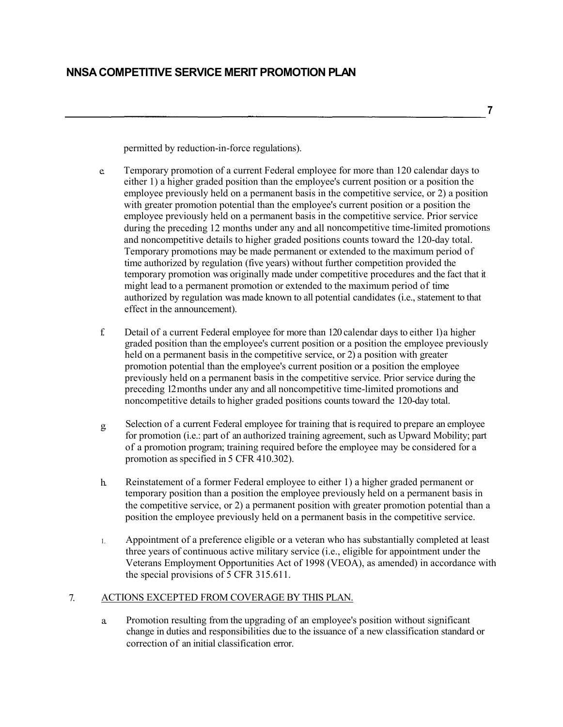**7**

permitted by reduction-in-force regulations).

- e. Temporary promotion of a current Federal employee for more than 120 calendar days to either 1) a higher graded position than the employee's current position or a position the employee previously held on a permanent basis in the competitive service, or 2) a position with greater promotion potential than the employee's current position or a position the employee previously held on a permanent basis in the competitive service. Prior service during the preceding 12 months under any and all noncompetitive time-limited promotions and noncompetitive details to higher graded positions counts toward the 120-day total. Temporary promotions may be made permanent or extended to the maximum period of time authorized by regulation (five years) without further competition provided the temporary promotion was originally made under competitive procedures and the fact that it might lead to a permanent promotion or extended to the maximum period of time authorized by regulation was made known to all potential candidates (i.e., statement to that effect in the announcement).
- Detail of a current Federal employee for more than 120 calendar days to either 1) a higher graded position than the employee's current position or a position the employee previously held on a permanent basis in the competitive service, or 2) a position with greater promotion potential than the employee's current position or a position the employee previously held on a permanent basis in the competitive service. Prior service during the preceding 12 months under any and all noncompetitive time-limited promotions and noncompetitive details to higher graded positions counts toward the 120-day total. f.
- Selection of a current Federal employee for training that is required to prepare an employee for promotion (i.e.: part of an authorized training agreement, such as Upward Mobility; part of a promotion program; training required before the employee may be considered for a promotion as specified in 5 CFR 410.302). g.
- h. Reinstatement of a former Federal employee to either 1) a higher graded permanent or temporary position than a position the employee previously held on a permanent basis in the competitive service, or 2) a permanent position with greater promotion potential than a position the employee previously held on a permanent basis in the competitive service.
- Appointment of a preference eligible or a veteran who has substantially completed at least three years of continuous active military service (i.e., eligible for appointment under the Veterans Employment Opportunities Act of 1998 (VEOA), as amended) in accordance with the special provisions of 5 CFR 315.611. 1.

## 7. ACTIONS EXCEPTED FROM COVERAGE BY THIS PLAN.

a. Promotion resulting from the upgrading of an employee's position without significant change in duties and responsibilities due to the issuance of a new classification standard or correction of an initial classification error.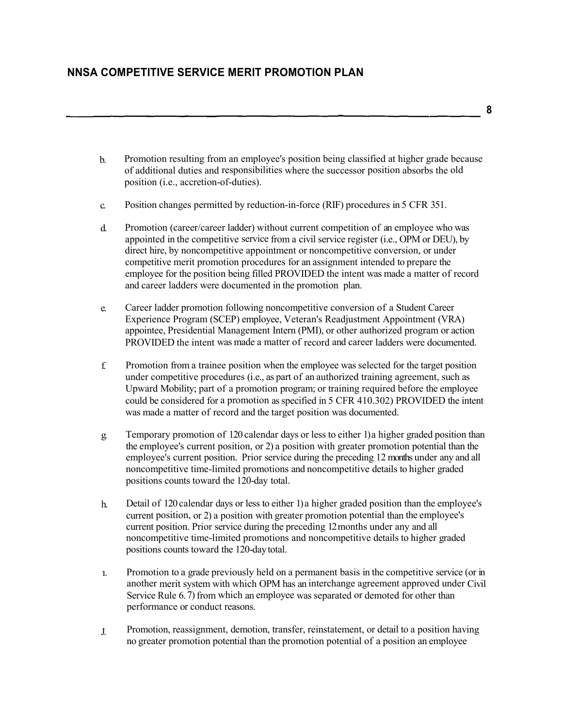- Promotion resulting from an employee's position being classified at higher grade because of additional duties and responsibilities where the successor position absorbs the old position (i.e., accretion-of-duties). b.
- c. Position changes permitted by reduction-in-force (RIF) procedures in 5 CFR 351.
- d. Promotion (career/career ladder) without current competition of an employee who was appointed in the competitive service from a civil service register (i.e., OPM or DEU), by direct hire, by noncompetitive appointment or noncompetitive conversion, or under competitive merit promotion procedures for an assignment intended to prepare the employee for the position being filled PROVIDED the intent was made a matter of record and career ladders were documented in the promotion plan.
- Career ladder promotion following noncompetitive conversion of a Student Career Experience Program (SCEP) employee, Veteran's Readjustment Appointment (VRA) appointee, Presidential Management Intern (PMI), or other authorized program or action PROVIDED the intent was made a matter of record and career ladders were documented. e.
- f. Promotion from a trainee position when the employee was selected for the target position under competitive procedures (i.e., as part of an authorized training agreement, such as Upward Mobility; part of a promotion program; or training required before the employee could be considered for a promotion as specified in 5 CFR 410.302) PROVIDED the intent was made a matter of record and the target position was documented.
- g. Temporary promotion of 120 calendar days or less to either 1) a higher graded position than the employee's current position, or 2) a position with greater promotion potential than the employee's current position. Prior service during the preceding 12 months under any and all noncompetitive time-limited promotions and noncompetitive details to higher graded positions counts toward the 120-day total.
- Detail of 120 calendar days or less to either 1) a higher graded position than the employee's current position, or 2) a position with greater promotion potential than the employee's current position. Prior service during the preceding 12 months under any and all noncompetitive time-limited promotions and noncompetitive details to higher graded positions counts toward the 120-daytotal. h.
- Promotion to a grade previously held on a permanent basis in the competitive service (or in another merit system with which OPM has an interchange agreement approved under Civil Service Rule 6. 7) from which an employee was separated or demoted for other than performance or conduct reasons. **1.**
- Promotion, reassignment, demotion, transfer, reinstatement, or detail to a position having no greater promotion potential than the promotion potential of a position an employee J.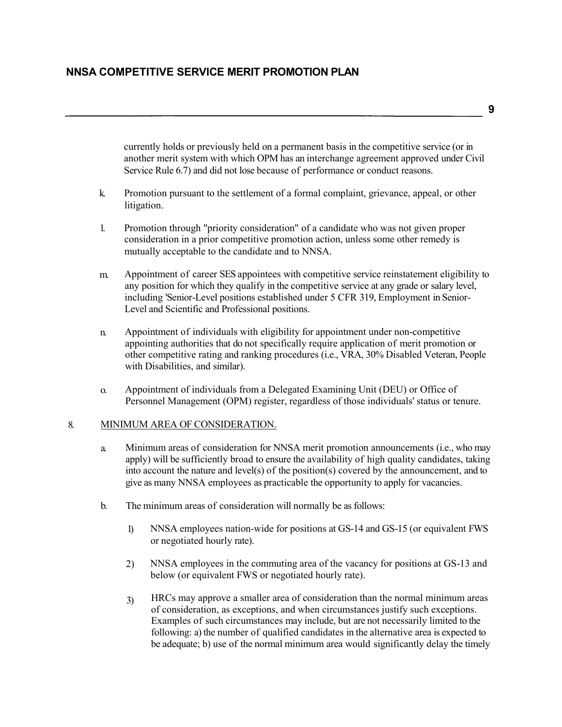**9**

currently holds or previously held on a permanent basis in the competitive service (or in another merit system with which OPM has an interchange agreement approved under Civil Service Rule 6.7) and did not lose because of performance or conduct reasons.

- k. Promotion pursuant to the settlement of a formal complaint, grievance, appeal, or other litigation.
- Promotion through "priority consideration" of a candidate who was not given proper consideration in a prior competitive promotion action, unless some other remedy is mutually acceptable to the candidate and to NNSA. 1.
- m. Appointment of career SES appointees with competitive service reinstatement eligibility to any position for which they qualify in the competitive service at any grade or salary level, including 'Senior-Level positions established under 5 CFR 319, Employment in Senior-Level and Scientific and Professional positions.
- n. Appointment of individuals with eligibility for appointment under non-competitive appointing authorities that do not specifically require application of merit promotion or other competitive rating and ranking procedures (i.e., VRA, 30% Disabled Veteran, People with Disabilities, and similar).
- o. Appointment of individuals from a Delegated Examining Unit (DEU) or Office of Personnel Management (OPM) register, regardless of those individuals' status or tenure.

### 8. MINIMUM AREA OF CONSIDERATION.

- Minimum areas of consideration for NNSA merit promotion announcements (i.e., who may apply) will be sufficiently broad to ensure the availability of high quality candidates, taking into account the nature and level(s) of the position(s) covered by the announcement, and to give as many NNSA employees as practicable the opportunity to apply for vacancies. a.
- b. The minimum areas of consideration will normally be as follows:
	- 1) NNSA employees nation-wide for positions at GS-14 and GS-15 (or equivalent FWS or negotiated hourly rate).
	- 2) NNSA employees in the commuting area of the vacancy for positions at GS-13 and below (or equivalent FWS or negotiated hourly rate).
	- HRCs may approve a smaller area of consideration than the normal minimum areas of consideration, as exceptions, and when circumstances justify such exceptions. Examples of such circumstances may include, but are not necessarily limited to the following: a) the number of qualified candidates in the alternative area is expected to be adequate; b) use of the normal minimum area would significantly delay the timely 3)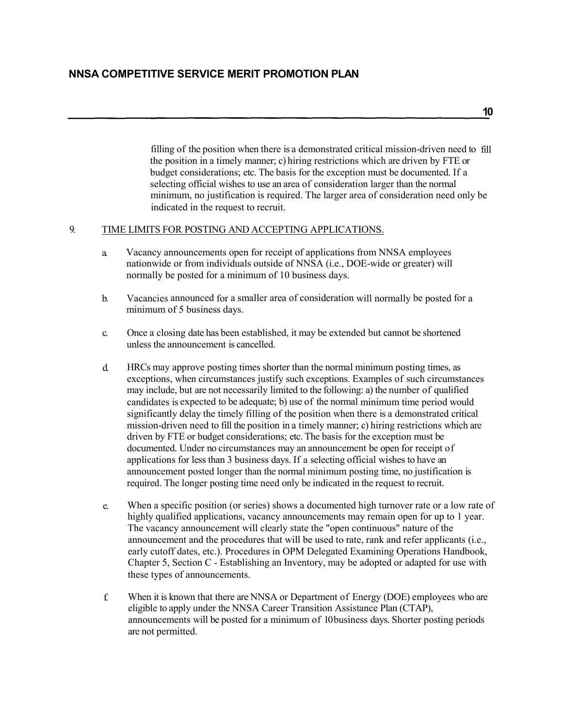filling of the position when there is a demonstrated critical mission-driven need to fill the position in a timely manner; c) hiring restrictions which are driven by FTE or budget considerations; etc. The basis for the exception must be documented. If a selecting official wishes to use an area of consideration larger than the normal minimum, no justification is required. The larger area of consideration need only be indicated in the request to recruit.

## 9. TIME LIMITS FOR POSTING AND ACCEPTING APPLICATIONS.

- a. Vacancy announcements open for receipt of applications from NNSA employees nationwide or from individuals outside of NNSA (i.e., DOE-wide or greater) will normally be posted for a minimum of 10 business days.
- b. Vacancies announced for a smaller area of consideration will normally be posted for a minimum of 5 business days.
- c. Once a closing date has been established, it may be extended but cannot be shortened unless the announcement is cancelled.
- d. HRCs may approve posting times shorter than the normal minimum posting times, as exceptions, when circumstances justify such exceptions. Examples of such circumstances may include, but are not necessarily limited to the following: a) the number of qualified candidates is expected to be adequate; b) use of the normal minimum time period would significantly delay the timely filling of the position when there is a demonstrated critical mission-driven need to fill the position in a timely manner; c) hiring restrictions which are driven by FTE or budget considerations; etc. The basis for the exception must be documented. Under no circumstances may an announcement be open for receipt of applications for less than 3 business days. If a selecting official wishes to have an announcement posted longer than the normal minimum posting time, no justification is required. The longer posting time need only be indicated in the request to recruit.
- When a specific position (or series) shows a documented high turnover rate or a low rate of highly qualified applications, vacancy announcements may remain open for up to 1 year. The vacancy announcement will clearly state the "open continuous" nature of the announcement and the procedures that will be used to rate, rank and refer applicants (i.e., early cutoff dates, etc.). Procedures in OPM Delegated Examining Operations Handbook, Chapter 5, Section C - Establishing an Inventory, may be adopted or adapted for use with these types of announcements. e.
- f. When it is known that there are NNSA or Department of Energy (DOE) employees who are eligible to apply under the NNSA Career Transition Assistance Plan (CTAP), announcements will be posted for a minimum of 10 business days. Shorter posting periods are not permitted.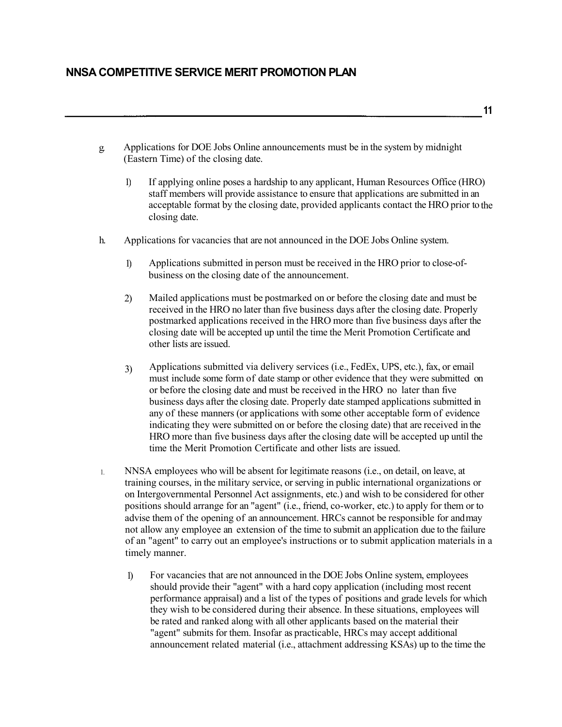- g. Applications for DOE Jobs Online announcements must be in the system by midnight (Eastern Time) of the closing date.
	- 1) If applying online poses a hardship to any applicant, Human Resources Office (HRO) staff members will provide assistance to ensure that applications are submitted in an acceptable format by the closing date, provided applicants contact the HRO prior to the closing date.
- h. Applications for vacancies that are not announced in the DOE Jobs Online system.
	- 1) Applications submitted in person must be received in the HRO prior to close-ofbusiness on the closing date of the announcement.
	- 2) Mailed applications must be postmarked on or before the closing date and must be received in the HRO no later than five business days after the closing date. Properly postmarked applications received in the HRO more than five business days after the closing date will be accepted up until the time the Merit Promotion Certificate and other lists are issued.
	- Applications submitted via delivery services (i.e., FedEx, UPS, etc.), fax, or email must include some form of date stamp or other evidence that they were submitted on or before the closing date and must be received in the HRO no later than five business days after the closing date. Properly date stamped applications submitted in any of these manners (or applications with some other acceptable form of evidence indicating they were submitted on or before the closing date) that are received in the HRO more than five business days after the closing date will be accepted up until the time the Merit Promotion Certificate and other lists are issued. 3)
- NNSA employees who will be absent for legitimate reasons (i.e., on detail, on leave, at training courses, in the military service, or serving in public international organizations or on Intergovernmental Personnel Act assignments, etc.) and wish to be considered for other positions should arrange for an "agent" (i.e., friend, co-worker, etc.) to apply for them or to advise them of the opening of an announcement. HRCs cannot be responsible for andmay 1. not allow any employee an extension of the time to submit an application due to the failure of an "agent" to carry out an employee's instructions or to submit application materials in a timely manner.
	- 1) For vacancies that are not announced in the DOE Jobs Online system, employees should provide their "agent" with a hard copy application (including most recent performance appraisal) and a list of the types of positions and grade levels for which they wish to be considered during their absence. In these situations, employees will be rated and ranked along with all other applicants based on the material their "agent" submits for them. Insofar as practicable, HRCs may accept additional announcement related material (i.e., attachment addressing KSAs) up to the time the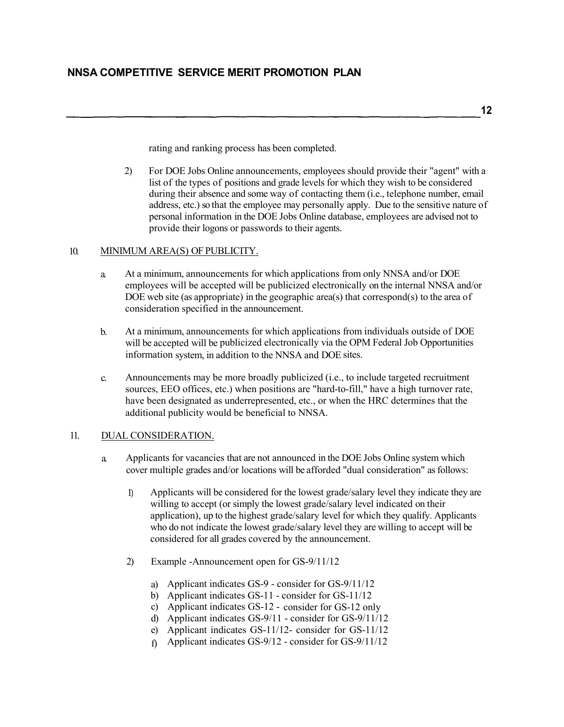**12**

rating and ranking process has been completed.

2) For DOE Jobs Online announcements, employees should provide their "agent" with a list of the types of positions and grade levels for which they wish to be considered during their absence and some way of contacting them (i.e., telephone number, email address, etc.) so that the employee may personally apply. Due to the sensitive nature of personal information in the DOE Jobs Online database, employees are advised not to provide their logons or passwords to their agents.

## 10. MINIMUM AREA(S) OF PUBLICITY.

- At a minimum, announcements for which applications from only NNSA and/or DOE employees will be accepted will be publicized electronically on the internal NNSA and/or DOE web site (as appropriate) in the geographic area(s) that correspond(s) to the area of consideration specified in the announcement. a.
- b. At a minimum, announcements for which applications from individuals outside of DOE will be accepted will be publicized electronically via the OPM Federal Job Opportunities information system, in addition to the NNSA and DOE sites.
- c. Announcements may be more broadly publicized (i.e., to include targeted recruitment sources, EEO offices, etc.) when positions are "hard-to-fill," have a high turnover rate, have been designated as underrepresented, etc., or when the HRC determines that the additional publicity would be beneficial to NNSA.

## 11. DUAL CONSIDERATION.

- a. Applicants for vacancies that are not announced in the DOE Jobs Online system which cover multiple grades and/or locations will be afforded "dual consideration" as follows:
	- 1) Applicants will be considered for the lowest grade/salary level they indicate they are willing to accept (or simply the lowest grade/salary level indicated on their application), up to the highest grade/salary level for which they qualify. Applicants who do not indicate the lowest grade/salary level they are willing to accept will be considered for all grades covered by the announcement.
	- 2) Example -Announcement open for GS-9/11/12
		- a) Applicant indicates GS-9 consider for GS-9/11/12
		- b) Applicant indicates GS-11 consider for GS-11/12
		- c) Applicant indicates GS-12 consider for GS-12 only
		- d) Applicant indicates GS-9/11 consider for GS-9/11/12
		- e) Applicant indicates GS-11/12- consider for GS-11/12
		- f) Applicant indicates GS-9/12 consider for GS-9/11/12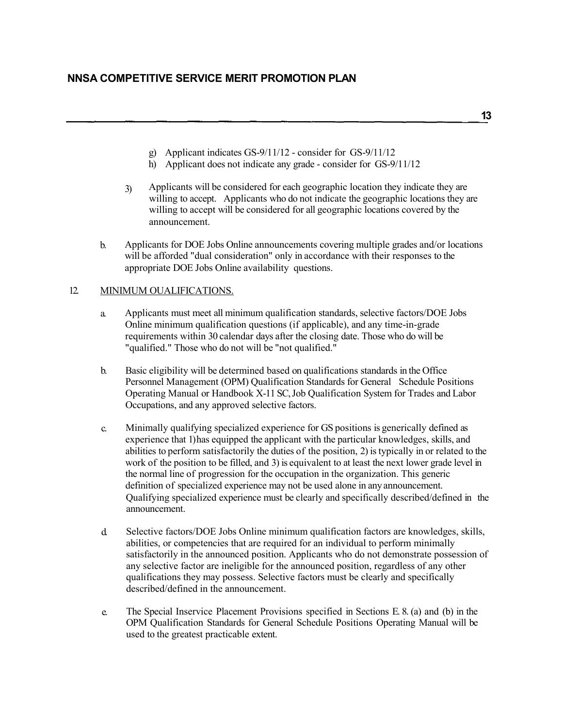**13**

- g) Applicant indicates GS-9/11/12 consider for GS-9/11/12
- h) Applicant does not indicate any grade consider for GS-9/11/12
- 3) Applicants will be considered for each geographic location they indicate they are willing to accept. Applicants who do not indicate the geographic locations they are willing to accept will be considered for all geographic locations covered by the announcement.
- Applicants for DOE Jobs Online announcements covering multiple grades and/or locations will be afforded "dual consideration" only in accordance with their responses to the appropriate DOE Jobs Online availability questions. b.

#### 12. MINIMUM OUALIFICATIONS.

- Applicants must meet all minimum qualification standards, selective factors/DOE Jobs Online minimum qualification questions (if applicable), and any time-in-grade requirements within 30 calendar days after the closing date. Those who do will be "qualified." Those who do not will be "not qualified." a.
- b. Basic eligibility will be determined based on qualifications standards in the Office Personnel Management (OPM) Qualification Standards for General Schedule Positions Operating Manual or Handbook X-11 SC, Job Qualification System for Trades and Labor Occupations, and any approved selective factors.
- c. Minimally qualifying specialized experience for GS positions is generically defined as experience that 1) has equipped the applicant with the particular knowledges, skills, and abilities to perform satisfactorily the duties of the position, 2) is typically in or related to the work of the position to be filled, and 3) is equivalent to at least the next lower grade level in the normal line of progression for the occupation in the organization. This generic definition of specialized experience may not be used alone in any announcement. Qualifying specialized experience must be clearly and specifically described/defined in the announcement.
- d. Selective factors/DOE Jobs Online minimum qualification factors are knowledges, skills, abilities, or competencies that are required for an individual to perform minimally satisfactorily in the announced position. Applicants who do not demonstrate possession of any selective factor are ineligible for the announced position, regardless of any other qualifications they may possess. Selective factors must be clearly and specifically described/defined in the announcement.
- e. The Special Inservice Placement Provisions specified in Sections E. 8. (a) and (b) in the OPM Qualification Standards for General Schedule Positions Operating Manual will be used to the greatest practicable extent.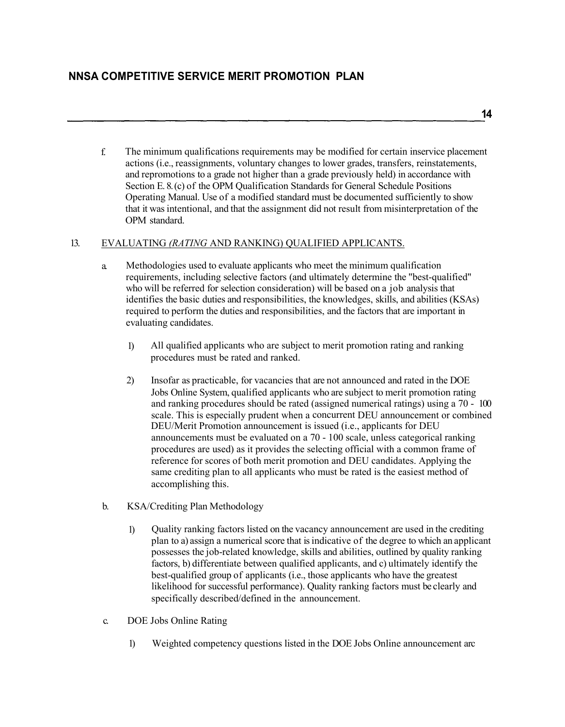f. The minimum qualifications requirements may be modified for certain inservice placement actions (i.e., reassignments, voluntary changes to lower grades, transfers, reinstatements, and repromotions to a grade not higher than a grade previously held) in accordance with Section E. 8. (c) of the OPM Qualification Standards for General Schedule Positions Operating Manual. Use of a modified standard must be documented sufficiently to show that it was intentional, and that the assignment did not result from misinterpretation of the OPM standard.

## 13. EVALUATING *(RATING* AND RANKING) QUALIFIED APPLICANTS.

- a. Methodologies used to evaluate applicants who meet the minimum qualification requirements, including selective factors (and ultimately determine the "best-qualified" who will be referred for selection consideration) will be based on a job analysis that identifies the basic duties and responsibilities, the knowledges, skills, and abilities (KSAs) required to perform the duties and responsibilities, and the factors that are important in evaluating candidates.
	- 1) All qualified applicants who are subject to merit promotion rating and ranking procedures must be rated and ranked.
	- 2) Insofar as practicable, for vacancies that are not announced and rated in the DOE Jobs Online System, qualified applicants who are subject to merit promotion rating and ranking procedures should be rated (assigned numerical ratings) using a 70 - 100 scale. This is especially prudent when a concurrent DEU announcement or combined DEU/Merit Promotion announcement is issued (i.e., applicants for DEU announcements must be evaluated on a 70 - 100 scale, unless categorical ranking procedures are used) as it provides the selecting official with a common frame of reference for scores of both merit promotion and DEU candidates. Applying the same crediting plan to all applicants who must be rated is the easiest method of accomplishing this.
- b. KSA/Crediting Plan Methodology
	- 1) Quality ranking factors listed on the vacancy announcement are used in the crediting plan to a) assign a numerical score that is indicative of the degree to which an applicant possesses the job-related knowledge, skills and abilities, outlined by quality ranking factors, b) differentiate between qualified applicants, and c) ultimately identify the best-qualified group of applicants (i.e., those applicants who have the greatest likelihood for successful performance). Quality ranking factors must be clearly and specifically described/defined in the announcement.
- c. DOE Jobs Online Rating
	- 1) Weighted competency questions listed in the DOE Jobs Online announcement arc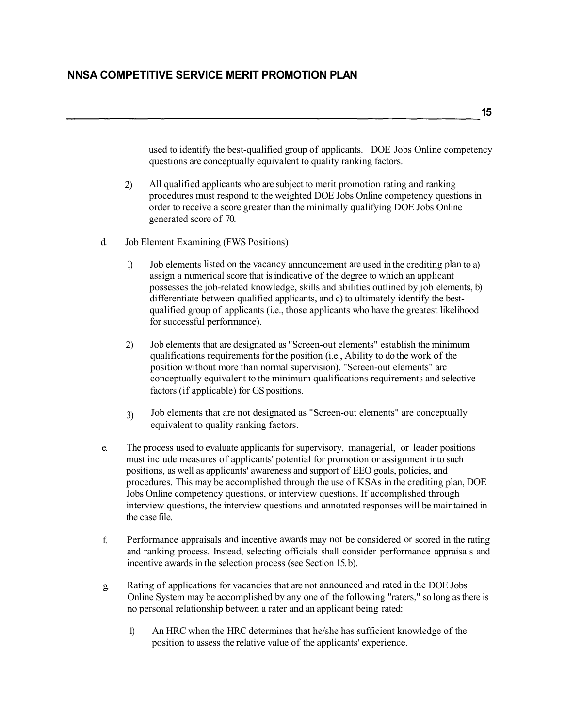used to identify the best-qualified group of applicants. DOE Jobs Online competency questions are conceptually equivalent to quality ranking factors.

- All qualified applicants who are subject to merit promotion rating and ranking procedures must respond to the weighted DOE Jobs Online competency questions in order to receive a score greater than the minimally qualifying DOE Jobs Online generated score of 70. 2)
- d. Job Element Examining (FWS Positions)
	- Job elements listed on the vacancy announcement are used in the crediting plan to a) assign a numerical score that is indicative of the degree to which an applicant possesses the job-related knowledge, skills and abilities outlined by job elements, b) differentiate between qualified applicants, and c) to ultimately identify the bestqualified group of applicants (i.e., those applicants who have the greatest likelihood for successful performance). 1)
	- Job elements that are designated as "Screen-out elements" establish the minimum qualifications requirements for the position (i.e., Ability to do the work of the position without more than normal supervision). "Screen-out elements" arc conceptually equivalent to the minimum qualifications requirements and selective factors (if applicable) for GS positions. 2)
	- Job elements that are not designated as "Screen-out elements" are conceptually equivalent to quality ranking factors. 3)
- e. The process used to evaluate applicants for supervisory, managerial, or leader positions must include measures of applicants' potential for promotion or assignment into such positions, as well as applicants' awareness and support of EEO goals, policies, and procedures. This may be accomplished through the use of KSAs in the crediting plan, DOE Jobs Online competency questions, or interview questions. If accomplished through interview questions, the interview questions and annotated responses will be maintained in the case file.
- f. Performance appraisals and incentive awards may not be considered or scored in the rating and ranking process. Instead, selecting officials shall consider performance appraisals and incentive awards in the selection process (see Section 15. b).
- g. Rating of applications for vacancies that are not announced and rated in the DOE Jobs Online System may be accomplished by any one of the following "raters," so long as there is no personal relationship between a rater and an applicant being rated:
	- 1) An HRC when the HRC determines that he/she has sufficient knowledge of the position to assess the relative value of the applicants' experience.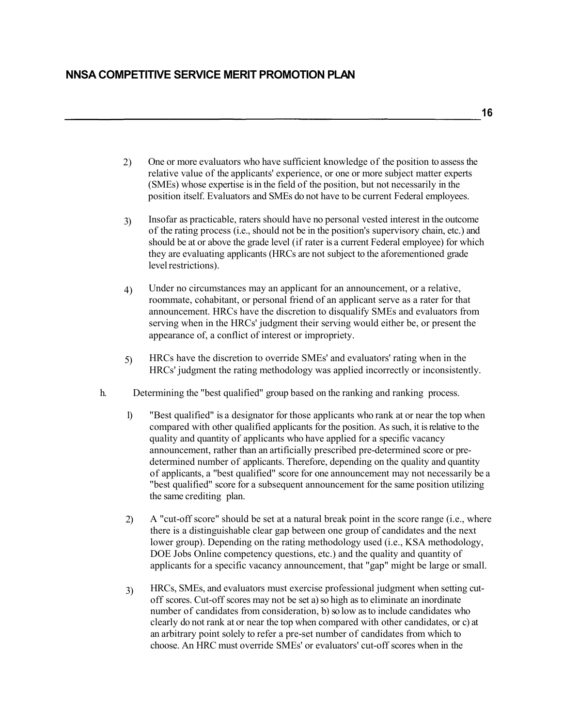- 2) One or more evaluators who have sufficient knowledge of the position to assess the relative value of the applicants' experience, or one or more subject matter experts (SMEs) whose expertise is in the field of the position, but not necessarily in the position itself. Evaluators and SMEs do not have to be current Federal employees.
- Insofar as practicable, raters should have no personal vested interest in the outcome of the rating process (i.e., should not be in the position's supervisory chain, etc.) and should be at or above the grade level (if rater is a current Federal employee) for which they are evaluating applicants (HRCs are not subject to the aforementioned grade level restrictions). 3)
- Under no circumstances may an applicant for an announcement, or a relative, roommate, cohabitant, or personal friend of an applicant serve as a rater for that announcement. HRCs have the discretion to disqualify SMEs and evaluators from serving when in the HRCs' judgment their serving would either be, or present the appearance of, a conflict of interest or impropriety. 4)
- HRCs have the discretion to override SMEs' and evaluators' rating when in the HRCs' judgment the rating methodology was applied incorrectly or inconsistently. 5)
- h. Determining the "best qualified" group based on the ranking and ranking process.
	- 1) "Best qualified" is a designator for those applicants who rank at or near the top when compared with other qualified applicants for the position. As such, it isrelative to the quality and quantity of applicants who have applied for a specific vacancy announcement, rather than an artificially prescribed pre-determined score or predetermined number of applicants. Therefore, depending on the quality and quantity of applicants, a "best qualified" score for one announcement may not necessarily be a "best qualified" score for a subsequent announcement for the same position utilizing the same crediting plan.
	- 2) A "cut-off score" should be set at a natural break point in the score range (i.e., where there is a distinguishable clear gap between one group of candidates and the next lower group). Depending on the rating methodology used (i.e., KSA methodology, DOE Jobs Online competency questions, etc.) and the quality and quantity of applicants for a specific vacancy announcement, that "gap" might be large or small.
	- HRCs, SMEs, and evaluators must exercise professional judgment when setting cutoff scores. Cut-off scores may not be set a) so high as to eliminate an inordinate number of candidates from consideration, b) so low as to include candidates who clearly do not rank at or near the top when compared with other candidates, or c) at an arbitrary point solely to refer a pre-set number of candidates from which to choose. An HRC must override SMEs' or evaluators' cut-off scores when in the 3)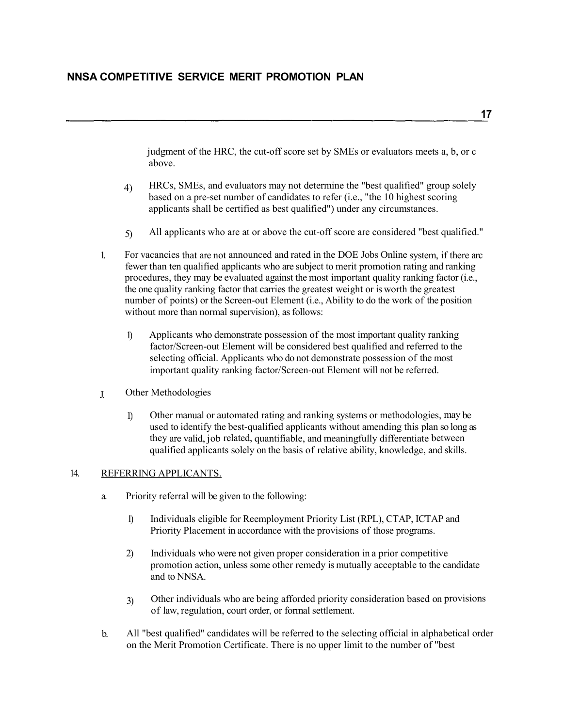judgment of the HRC, the cut-off score set by SMEs or evaluators meets a, b, or c above.

- HRCs, SMEs, and evaluators may not determine the "best qualified" group solely based on a pre-set number of candidates to refer (i.e., "the 10 highest scoring applicants shall be certified as best qualified") under any circumstances. 4)
- 5) All applicants who are at or above the cut-off score are considered "best qualified."
- 1. For vacancies that are not announced and rated in the DOE Jobs Online system, if there arc fewer than ten qualified applicants who are subject to merit promotion rating and ranking procedures, they may be evaluated against the most important quality ranking factor (i.e., the one quality ranking factor that carries the greatest weight or is worth the greatest number of points) or the Screen-out Element (i.e., Ability to do the work of the position without more than normal supervision), as follows:
	- 1) Applicants who demonstrate possession of the most important quality ranking factor/Screen-out Element will be considered best qualified and referred to the selecting official. Applicants who do not demonstrate possession of the most important quality ranking factor/Screen-out Element will not be referred.
- J. Other Methodologies
	- 1) Other manual or automated rating and ranking systems or methodologies, may be used to identify the best-qualified applicants without amending this plan so long as they are valid, job related, quantifiable, and meaningfully differentiate between qualified applicants solely on the basis of relative ability, knowledge, and skills.

#### 14. REFERRING APPLICANTS.

- a. Priority referral will be given to the following:
	- 1) Individuals eligible for Reemployment Priority List (RPL), CTAP, ICTAP and Priority Placement in accordance with the provisions of those programs.
	- 2) Individuals who were not given proper consideration in a prior competitive promotion action, unless some other remedy is mutually acceptable to the candidate and to NNSA.
	- Other individuals who are being afforded priority consideration based on provisions 3) Other individuals who are being afforded priority consider that is of law, regulation, court order, or formal settlement.
- b. All "best qualified" candidates will be referred to the selecting official in alphabetical order on the Merit Promotion Certificate. There is no upper limit to the number of "best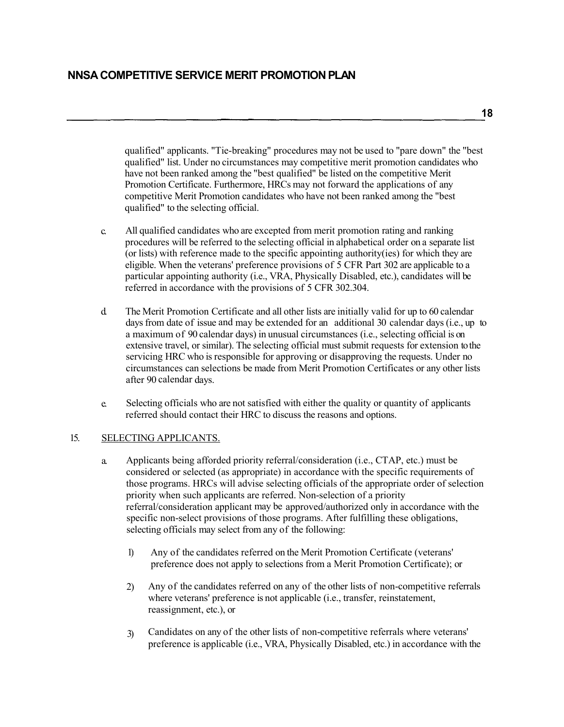**18**

qualified" applicants. "Tie-breaking" procedures may not be used to "pare down" the "best qualified" list. Under no circumstances may competitive merit promotion candidates who have not been ranked among the "best qualified" be listed on the competitive Merit Promotion Certificate. Furthermore, HRCs may not forward the applications of any competitive Merit Promotion candidates who have not been ranked among the "best qualified" to the selecting official.

- c. All qualified candidates who are excepted from merit promotion rating and ranking procedures will be referred to the selecting official in alphabetical order on a separate list (or lists) with reference made to the specific appointing authority(ies) for which they are eligible. When the veterans' preference provisions of 5 CFR Part 302 are applicable to a particular appointing authority (i.e., VRA, Physically Disabled, etc.), candidates will be referred in accordance with the provisions of 5 CFR 302.304.
- d. The Merit Promotion Certificate and all other lists are initially valid for up to 60 calendar days from date of issue and may be extended for an additional 30 calendar days (i.e., up to a maximum of 90 calendar days) in unusual circumstances (i.e., selecting official is on extensive travel, or similar). The selecting official must submit requests for extension to the servicing HRC who is responsible for approving or disapproving the requests. Under no circumstances can selections be made from Merit Promotion Certificates or any other lists after 90 calendar days.
- e. Selecting officials who are not satisfied with either the quality or quantity of applicants referred should contact their HRC to discuss the reasons and options.

## 15. SELECTING APPLICANTS.

- a. Applicants being afforded priority referral/consideration (i.e., CTAP, etc.) must be considered or selected (as appropriate) in accordance with the specific requirements of those programs. HRCs will advise selecting officials of the appropriate order of selection priority when such applicants are referred. Non-selection of a priority referral/consideration applicant may be approved/authorized only in accordance with the specific non-select provisions of those programs. After fulfilling these obligations, selecting officials may select from any of the following:
	- 1) Any of the candidates referred on the Merit Promotion Certificate (veterans' preference does not apply to selections from a Merit Promotion Certificate); or
	- 2) Any of the candidates referred on any of the other lists of non-competitive referrals where veterans' preference is not applicable (i.e., transfer, reinstatement, reassignment, etc.), or
	- Candidates on any of the other lists of non-competitive referrals where veterans' preference is applicable (i.e., VRA, Physically Disabled, etc.) in accordance with the 3)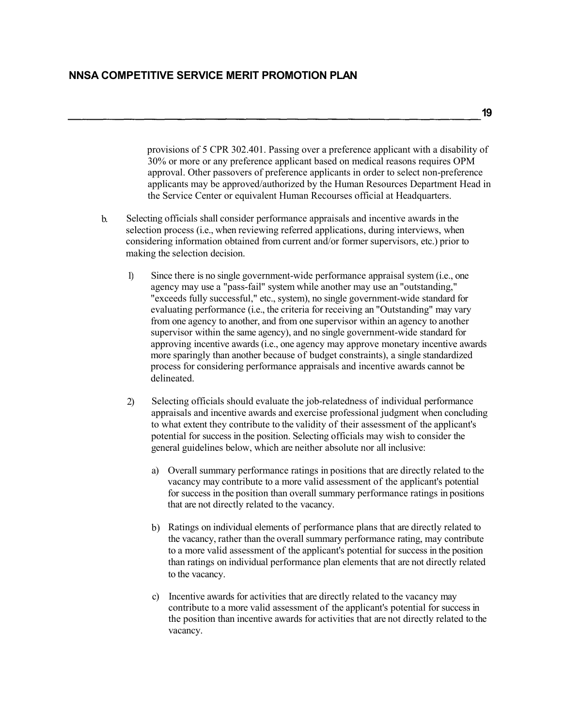provisions of 5 CPR 302.401. Passing over a preference applicant with a disability of 30% or more or any preference applicant based on medical reasons requires OPM approval. Other passovers of preference applicants in order to select non-preference applicants may be approved/authorized by the Human Resources Department Head in the Service Center or equivalent Human Recourses official at Headquarters.

- b. Selecting officials shall consider performance appraisals and incentive awards in the selection process (i.e., when reviewing referred applications, during interviews, when considering information obtained from current and/or former supervisors, etc.) prior to making the selection decision.
	- 1) Since there is no single government-wide performance appraisal system (i.e., one agency may use a "pass-fail" system while another may use an "outstanding," "exceeds fully successful," etc., system), no single government-wide standard for evaluating performance (i.e., the criteria for receiving an "Outstanding" may vary from one agency to another, and from one supervisor within an agency to another supervisor within the same agency), and no single government-wide standard for approving incentive awards (i.e., one agency may approve monetary incentive awards more sparingly than another because of budget constraints), a single standardized process for considering performance appraisals and incentive awards cannot be delineated.
	- 2) Selecting officials should evaluate the job-relatedness of individual performance appraisals and incentive awards and exercise professional judgment when concluding to what extent they contribute to the validity of their assessment of the applicant's potential for success in the position. Selecting officials may wish to consider the general guidelines below, which are neither absolute nor all inclusive:
		- a) Overall summary performance ratings in positions that are directly related to the vacancy may contribute to a more valid assessment of the applicant's potential for success in the position than overall summary performance ratings in positions that are not directly related to the vacancy.
		- b) Ratings on individual elements of performance plans that are directly related to the vacancy, rather than the overall summary performance rating, may contribute to a more valid assessment of the applicant's potential for success in the position than ratings on individual performance plan elements that are not directly related to the vacancy.
		- c) Incentive awards for activities that are directly related to the vacancy may contribute to a more valid assessment of the applicant's potential for success in the position than incentive awards for activities that are not directly related to the vacancy.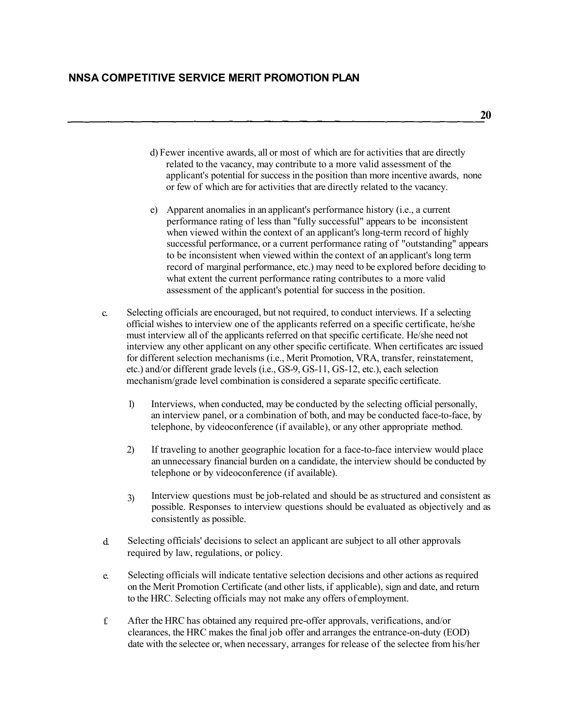**20**

- d) Fewer incentive awards, all or most of which are for activities that are directly related to the vacancy, may contribute to a more valid assessment of the applicant's potential for success in the position than more incentive awards, none or few of which are for activities that are directly related to the vacancy.
- e) Apparent anomalies in an applicant's performance history (i.e., a current performance rating of less than "fully successful" appears to be inconsistent when viewed within the context of an applicant's long-term record of highly successful performance, or a current performance rating of "outstanding" appears to be inconsistent when viewed within the context of an applicant's long term record of marginal performance, etc.) may need to be explored before deciding to what extent the current performance rating contributes to a more valid assessment of the applicant's potential for success in the position.
- c. Selecting officials are encouraged, but not required, to conduct interviews. If a selecting official wishes to interview one of the applicants referred on a specific certificate, he/she must interview all of the applicants referred on that specific certificate. He/she need not interview any other applicant on any other specific certificate. When certificates arc issued for different selection mechanisms (i.e., Merit Promotion, VRA, transfer, reinstatement, etc.) and/or different grade levels (i.e., GS-9, GS-11, GS-12, etc.), each selection mechanism/grade level combination is considered a separate specific certificate.
	- 1) Interviews, when conducted, may be conducted by the selecting official personally, an interview panel, or a combination of both, and may be conducted face-to-face, by telephone, by videoconference (if available), or any other appropriate method.
	- 2) If traveling to another geographic location for a face-to-face interview would place an unnecessary financial burden on a candidate, the interview should be conducted by telephone or by videoconference (if available).
	- Interview questions must be job-related and should be as structured and consistent as possible. Responses to interview questions should be evaluated as objectively and as consistently as possible. 3)
- d. Selecting officials' decisions to select an applicant are subject to all other approvals required by law, regulations, or policy.
- Selecting officials will indicate tentative selection decisions and other actions as required on the Merit Promotion Certificate (and other lists, if applicable), sign and date, and return to the HRC. Selecting officials may not make any offers of employment. e.
- f. After the HRC has obtained any required pre-offer approvals, verifications, and/or clearances, the HRC makes the final job offer and arranges the entrance-on-duty (EOD) date with the selectee or, when necessary, arranges for release of the selectee from his/her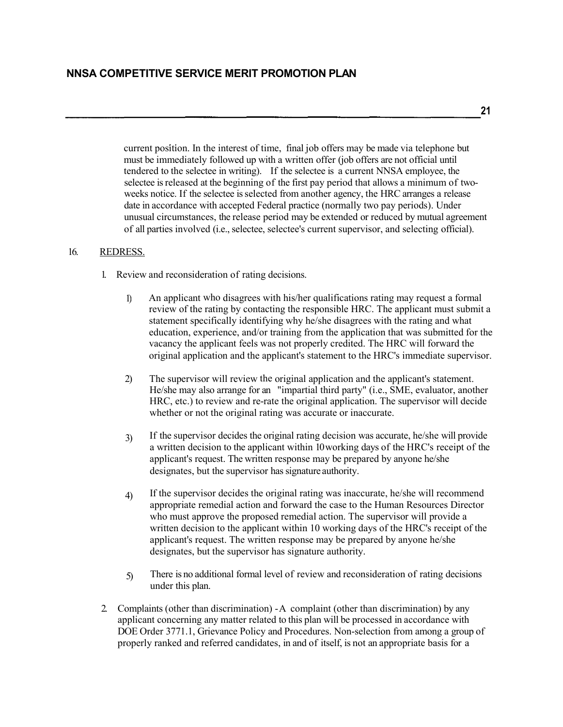**21**

current position. In the interest of time, final job offers may be made via telephone but must be immediately followed up with a written offer (job offers are not official until tendered to the selectee in writing). If the selectee is a current NNSA employee, the selectee is released at the beginning of the first pay period that allows a minimum of twoweeks notice. If the selectee is selected from another agency, the HRC arranges a release date in accordance with accepted Federal practice (normally two pay periods). Under unusual circumstances, the release period may be extended or reduced by mutual agreement of all parties involved (i.e., selectee, selectee's current supervisor, and selecting official).

#### 16. REDRESS.

- 1. Review and reconsideration of rating decisions.
	- An applicant who disagrees with his/her qualifications rating may request a formal review of the rating by contacting the responsible HRC. The applicant must submit a statement specifically identifying why he/she disagrees with the rating and what education, experience, and/or training from the application that was submitted for the vacancy the applicant feels was not properly credited. The HRC will forward the original application and the applicant's statement to the HRC's immediate supervisor. 1)
	- 2) The supervisor will review the original application and the applicant's statement. He/she may also arrange for an "impartial third party" (i.e., SME, evaluator, another HRC, etc.) to review and re-rate the original application. The supervisor will decide whether or not the original rating was accurate or inaccurate.
	- If the supervisor decides the original rating decision was accurate, he/she will provide a written decision to the applicant within 10 working days of the HRC's receipt of the applicant's request. The written response may be prepared by anyone he/she designates, but the supervisor has signature authority. 3)
	- If the supervisor decides the original rating was inaccurate, he/she will recommend appropriate remedial action and forward the case to the Human Resources Director who must approve the proposed remedial action. The supervisor will provide a written decision to the applicant within 10 working days of the HRC's receipt of the applicant's request. The written response may be prepared by anyone he/she designates, but the supervisor has signature authority. 4)
	- There is no additional formal level of review and reconsideration of rating decisions under this plan. 5)
- 2. Complaints (other than discrimination) -A complaint (other than discrimination) by any applicant concerning any matter related to this plan will be processed in accordance with DOE Order 3771.1, Grievance Policy and Procedures. Non-selection from among a group of properly ranked and referred candidates, in and of itself, is not an appropriate basis for a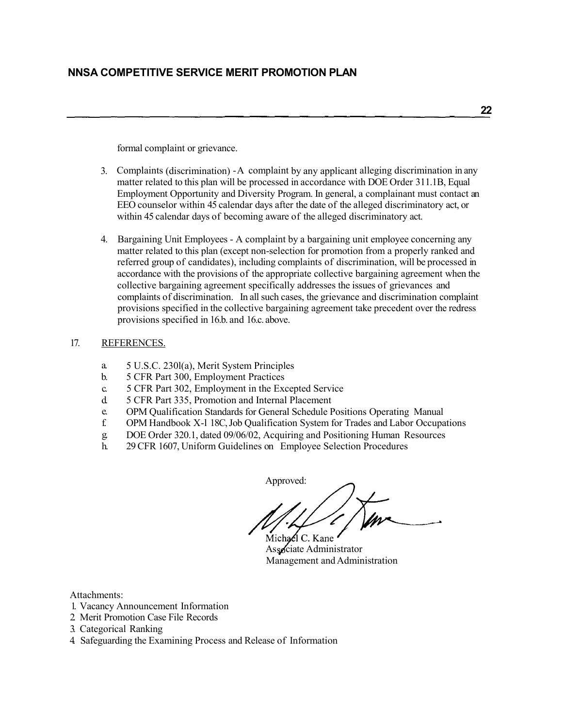formal complaint or grievance.

- 3. Complaints (discrimination) -A complaint by any applicant alleging discrimination in any matter related to this plan will be processed in accordance with DOE Order 311.1B, Equal Employment Opportunity and Diversity Program. In general, a complainant must contact an EEO counselor within 45 calendar days after the date of the alleged discriminatory act, or within 45 calendar days of becoming aware of the alleged discriminatory act.
- 4. Bargaining Unit Employees A complaint by a bargaining unit employee concerning any matter related to this plan (except non-selection for promotion from a properly ranked and referred group of candidates), including complaints of discrimination, will be processed in accordance with the provisions of the appropriate collective bargaining agreement when the collective bargaining agreement specifically addresses the issues of grievances and complaints of discrimination. In all such cases, the grievance and discrimination complaint provisions specified in the collective bargaining agreement take precedent over the redress provisions specified in 16.b. and 16.c. above.

## 17. REFERENCES.

- a. 5 U.S.C. 230l(a), Merit System Principles
- b. 5 CFR Part 300, Employment Practices
- c. 5 CFR Part 302, Employment in the Excepted Service
- d. 5 CFR Part 335, Promotion and Internal Placement
- e. OPM Qualification Standards for General Schedule Positions Operating Manual
- f. OPM Handbook X-l 18C, Job Qualification System for Trades and Labor Occupations
- g. DOE Order 320.1, dated 09/06/02, Acquiring and Positioning Human Resources
- h. 29 CFR 1607, Uniform Guidelines on Employee Selection Procedures

Approved: Michael C. Kane

Associate Administrator Management and Administration

Attachments:

- 1. Vacancy Announcement Information
- 2. Merit Promotion Case File Records
- 3. Categorical Ranking
- 4. Safeguarding the Examining Process and Release of Information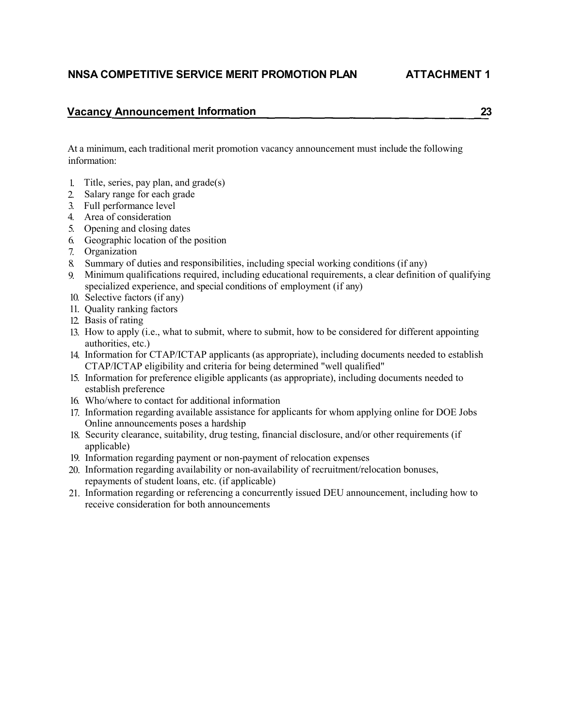# **NNSA COMPETITIVE SERVICE MERIT PROMOTION PLAN ATTACHMENT 1**

## **Vacancy Announcement Information 23**

At a minimum, each traditional merit promotion vacancy announcement must include the following information:

- 1. Title, series, pay plan, and grade(s)
- 2. Salary range for each grade
- 3. Full performance level
- 4. Area of consideration
- 5. Opening and closing dates
- 6. Geographic location of the position
- 7. Organization
- 8. Summary of duties and responsibilities, including special working conditions (if any)
- 9. Minimum qualifications required, including educational requirements, a clear definition of qualifying specialized experience, and special conditions of employment (if any)
- 10. Selective factors (if any)
- 11. Quality ranking factors
- 12. Basis of rating
- 13. How to apply (i.e., what to submit, where to submit, how to be considered for different appointing authorities, etc.)
- Information for CTAP/ICTAP applicants (as appropriate), including documents needed to establish 14. CTAP/ICTAP eligibility and criteria for being determined "well qualified"
- Information for preference eligible applicants (as appropriate), including documents needed to 15. establish preference
- Who/where to contact for additional information 16.
- 17. Information regarding available assistance for applicants for whom applying online for DOE Jobs Online announcements poses a hardship
- 18. Security clearance, suitability, drug testing, financial disclosure, and/or other requirements (if applicable)
- 19. Information regarding payment or non-payment of relocation expenses
- 20. Information regarding availability or non-availability of recruitment/relocation bonuses, repayments of student loans, etc. (if applicable)
- 21. Information regarding or referencing a concurrently issued DEU announcement, including how to receive consideration for both announcements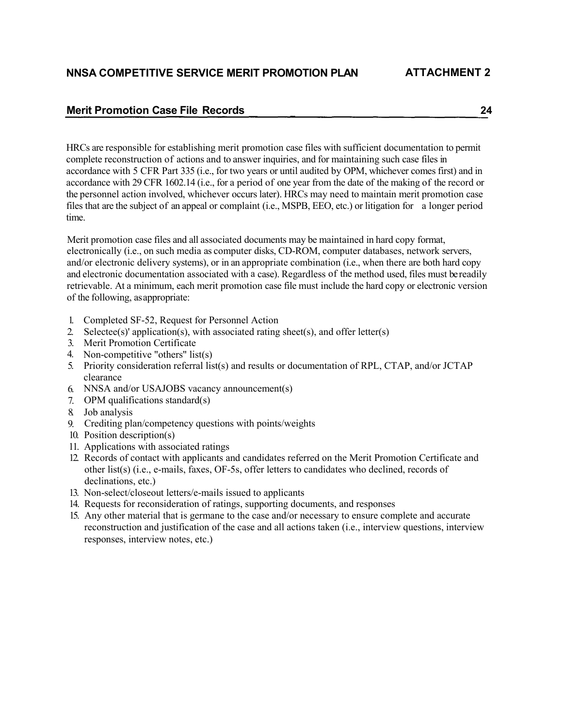# **Merit Promotion Case File Records 24**

HRCs are responsible for establishing merit promotion case files with sufficient documentation to permit complete reconstruction of actions and to answer inquiries, and for maintaining such case files in accordance with 5 CFR Part 335 (i.e., for two years or until audited by OPM, whichever comes first) and in accordance with 29 CFR 1602.14 (i.e., for a period of one year from the date of the making of the record or the personnel action involved, whichever occurs later). HRCs may need to maintain merit promotion case files that are the subject of an appeal or complaint (i.e., MSPB, EEO, etc.) or litigation for a longer period time.

Merit promotion case files and all associated documents may be maintained in hard copy format, electronically (i.e., on such media as computer disks, CD-ROM, computer databases, network servers, and/or electronic delivery systems), or in an appropriate combination (i.e., when there are both hard copy and electronic documentation associated with a case). Regardless of the method used, files must be readily retrievable. At a minimum, each merit promotion case file must include the hard copy or electronic version of the following, asappropriate:

- 1. Completed SF-52, Request for Personnel Action
- 2. Selectee(s)' application(s), with associated rating sheet(s), and offer letter(s)
- 3. Merit Promotion Certificate
- 4. Non-competitive "others" list(s)
- 5. Priority consideration referral list(s) and results or documentation of RPL, CTAP, and/or JCTAP clearance
- NNSA and/or USAJOBS vacancy announcement(s) 6.
- OPM qualifications standard(s) 7.
- Job analysis 8.
- Crediting plan/competency questions with points/weights 9.
- 10. Position description(s)
- Applications with associated ratings 11.
- 12. Records of contact with applicants and candidates referred on the Merit Promotion Certificate and other list(s) (i.e., e-mails, faxes, OF-5s, offer letters to candidates who declined, records of declinations, etc.)
- 13. Non-select/closeout letters/e-mails issued to applicants
- 14. Requests for reconsideration of ratings, supporting documents, and responses
- 15. Any other material that is germane to the case and/or necessary to ensure complete and accurate reconstruction and justification of the case and all actions taken (i.e., interview questions, interview responses, interview notes, etc.)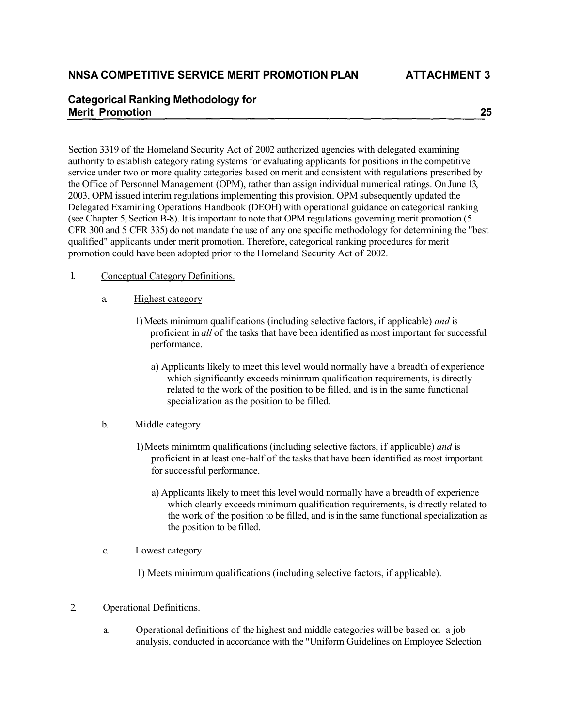# **Categorical Ranking Methodology for Merit Promotion 25**

Section 3319 of the Homeland Security Act of 2002 authorized agencies with delegated examining authority to establish category rating systems for evaluating applicants for positions in the competitive service under two or more quality categories based on merit and consistent with regulations prescribed by the Office of Personnel Management (OPM), rather than assign individual numerical ratings. On June 13, 2003, OPM issued interim regulations implementing this provision. OPM subsequently updated the Delegated Examining Operations Handbook (DEOH) with operational guidance on categorical ranking (see Chapter 5, Section B-8). It is important to note that OPM regulations governing merit promotion (5 CFR 300 and 5 CFR 335) do not mandate the use of any one specific methodology for determining the "best qualified" applicants under merit promotion. Therefore, categorical ranking procedures for merit promotion could have been adopted prior to the Homeland Security Act of 2002.

- 1. Conceptual Category Definitions.
	- a. Highest category
		- 1) Meets minimum qualifications (including selective factors, if applicable) *and* is proficient in *all* of the tasks that have been identified as most important for successful performance.
			- a) Applicants likely to meet this level would normally have a breadth of experience which significantly exceeds minimum qualification requirements, is directly related to the work of the position to be filled, and is in the same functional specialization as the position to be filled.

## b. Middle category

- 1) Meets minimum qualifications (including selective factors, if applicable) *and* is proficient in at least one-half of the tasks that have been identified as most important for successful performance.
	- a) Applicants likely to meet this level would normally have a breadth of experience which clearly exceeds minimum qualification requirements, is directly related to the work of the position to be filled, and is in the same functional specialization as the position to be filled.

## c. Lowest category

1) Meets minimum qualifications (including selective factors, if applicable).

## 2. Operational Definitions.

a. Operational definitions of the highest and middle categories will be based on a job analysis, conducted in accordance with the "Uniform Guidelines on Employee Selection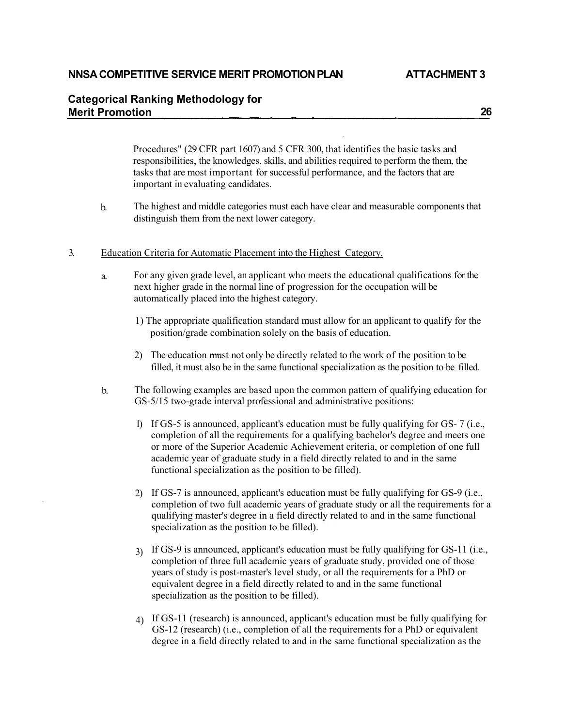## **NNSA COMPETITIVE SERVICE MERIT PROMOTIONPLAN ATTACHMENT 3**

# **Categorical Ranking Methodology for Merit Promotion 26**

Procedures" (29 CFR part 1607) and 5 CFR 300, that identifies the basic tasks and responsibilities, the knowledges, skills, and abilities required to perform the them, the tasks that are most important for successful performance, and the factors that are important in evaluating candidates.

- The highest and middle categories must each have clear and measurable components that distinguish them from the next lower category. b.
- 3. Education Criteria for Automatic Placement into the Highest Category.
	- a. For any given grade level, an applicant who meets the educational qualifications for the next higher grade in the normal line of progression for the occupation will be automatically placed into the highest category.
		- 1) The appropriate qualification standard must allow for an applicant to qualify for the position/grade combination solely on the basis of education.
		- 2) The education must not only be directly related to the work of the position to be filled, it must also be in the same functional specialization as the position to be filled.
	- b. The following examples are based upon the common pattern of qualifying education for GS-5/15 two-grade interval professional and administrative positions:
		- 1) If GS-5 is announced, applicant's education must be fully qualifying for GS- 7 (i.e., completion of all the requirements for a qualifying bachelor's degree and meets one or more of the Superior Academic Achievement criteria, or completion of one full academic year of graduate study in a field directly related to and in the same functional specialization as the position to be filled).
		- 2) If GS-7 is announced, applicant's education must be fully qualifying for GS-9 (i.e., completion of two full academic years of graduate study or all the requirements for a qualifying master's degree in a field directly related to and in the same functional specialization as the position to be filled).
		- If GS-9 is announced, applicant's education must be fully qualifying for GS-11 (i.e., 3) completion of three full academic years of graduate study, provided one of those years of study is post-master's level study, or all the requirements for a PhD or equivalent degree in a field directly related to and in the same functional specialization as the position to be filled).
		- If GS-11 (research) is announced, applicant's education must be fully qualifying for 4)GS-12 (research) (i.e., completion of all the requirements for a PhD or equivalent degree in a field directly related to and in the same functional specialization as the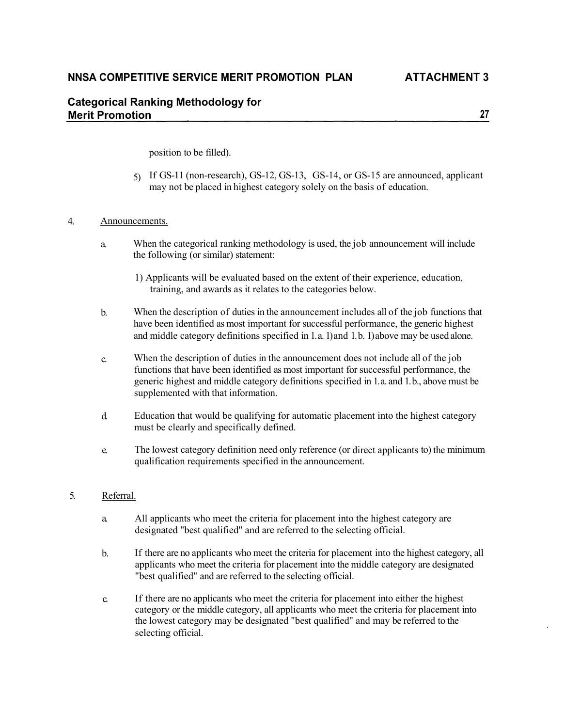# **NNSA COMPETITIVE SERVICE MERIT PROMOTION PLAN ATTACHMENT 3**

# **Categorical Ranking Methodology for Merit Promotion 27**

position to be filled).

5) If GS-11 (non-research), GS-12, GS-13, GS-14, or GS-15 are announced, applicant may not be placed in highest category solely on the basis of education.

#### 4. Announcements.

- a. When the categorical ranking methodology is used, the job announcement will include the following (or similar) statement:
	- 1) Applicants will be evaluated based on the extent of their experience, education, training, and awards as it relates to the categories below.
- b. When the description of duties in the announcement includes all of the job functions that have been identified as most important for successful performance, the generic highest and middle category definitions specified in 1. a. 1) and 1. b. 1) above may be used alone.
- When the description of duties in the announcement does not include all of the job functions that have been identified as most important for successful performance, the generic highest and middle category definitions specified in 1. a. and 1. b., above must be supplemented with that information. c.
- Education that would be qualifying for automatic placement into the highest category must be clearly and specifically defined. d.
- e. The lowest category definition need only reference (or direct applicants to) the minimum qualification requirements specified in the announcement.

#### 5. Referral.

- a. All applicants who meet the criteria for placement into the highest category are designated "best qualified" and are referred to the selecting official.
- If there are no applicants who meet the criteria for placement into the highest category, all applicants who meet the criteria for placement into the middle category are designated "best qualified" and are referred to the selecting official. b.
- If there are no applicants who meet the criteria for placement into either the highest category or the middle category, all applicants who meet the criteria for placement into the lowest category may be designated "best qualified" and may be referred to the selecting official. c.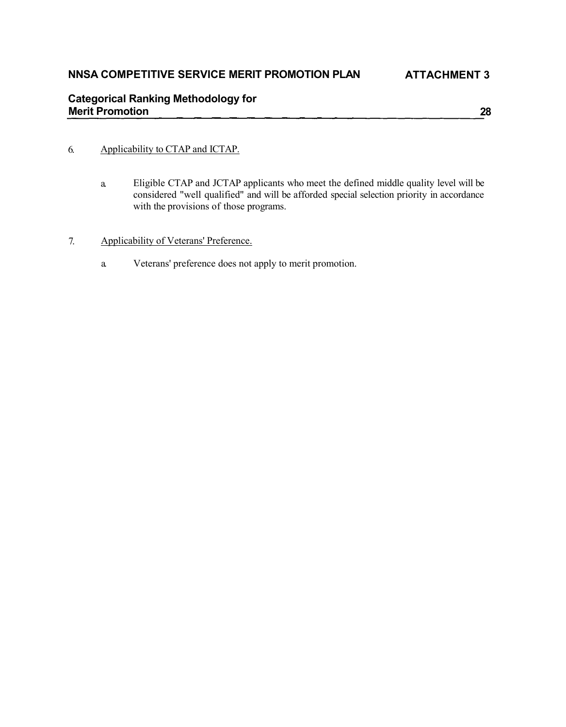# **Categorical Ranking Methodology for Merit Promotion 28**

## 6. Applicability to CTAP and ICTAP.

- Eligible CTAP and JCTAP applicants who meet the defined middle quality level will be considered "well qualified" and will be afforded special selection priority in accordance with the provisions of those programs. a.
- 7. Applicability of Veterans' Preference.
	- a. Veterans' preference does not apply to merit promotion.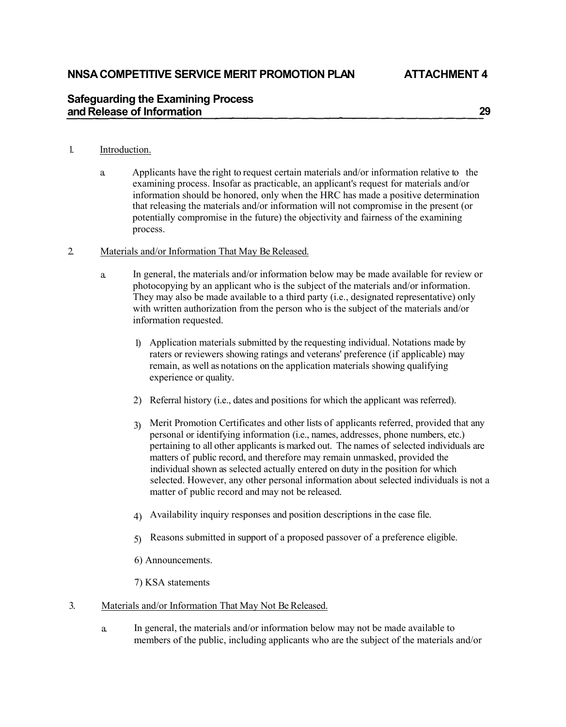# **Safeguarding the Examining Process and Release of Information 29**

## 1. Introduction.

a. Applicants have the right to request certain materials and/or information relative to the examining process. Insofar as practicable, an applicant's request for materials and/or information should be honored, only when the HRC has made a positive determination that releasing the materials and/or information will not compromise in the present (or potentially compromise in the future) the objectivity and fairness of the examining process.

## 2. Materials and/or Information That May Be Released.

- In general, the materials and/or information below may be made available for review or photocopying by an applicant who is the subject of the materials and/or information. They may also be made available to a third party (i.e., designated representative) only with written authorization from the person who is the subject of the materials and/or information requested. a.
	- 1) Application materials submitted by the requesting individual. Notations made by raters or reviewers showing ratings and veterans' preference (if applicable) may remain, as well as notations on the application materials showing qualifying experience or quality.
	- 2) Referral history (i.e., dates and positions for which the applicant was referred).
	- Merit Promotion Certificates and other lists of applicants referred, provided that any personal or identifying information (i.e., names, addresses, phone numbers, etc.) pertaining to all other applicants is marked out. The names of selected individuals are matters of public record, and therefore may remain unmasked, provided the 3) individual shown as selected actually entered on duty in the position for which selected. However, any other personal information about selected individuals is not a matter of public record and may not be released.
	- 4) Availability inquiry responses and position descriptions in the case file.
	- 5) Reasons submitted in support of a proposed passover of a preference eligible.
	- 6) Announcements.
	- 7) KSA statements
- 3. Materials and/or Information That May Not Be Released.
	- In general, the materials and/or information below may not be made available to members of the public, including applicants who are the subject of the materials and/or a.